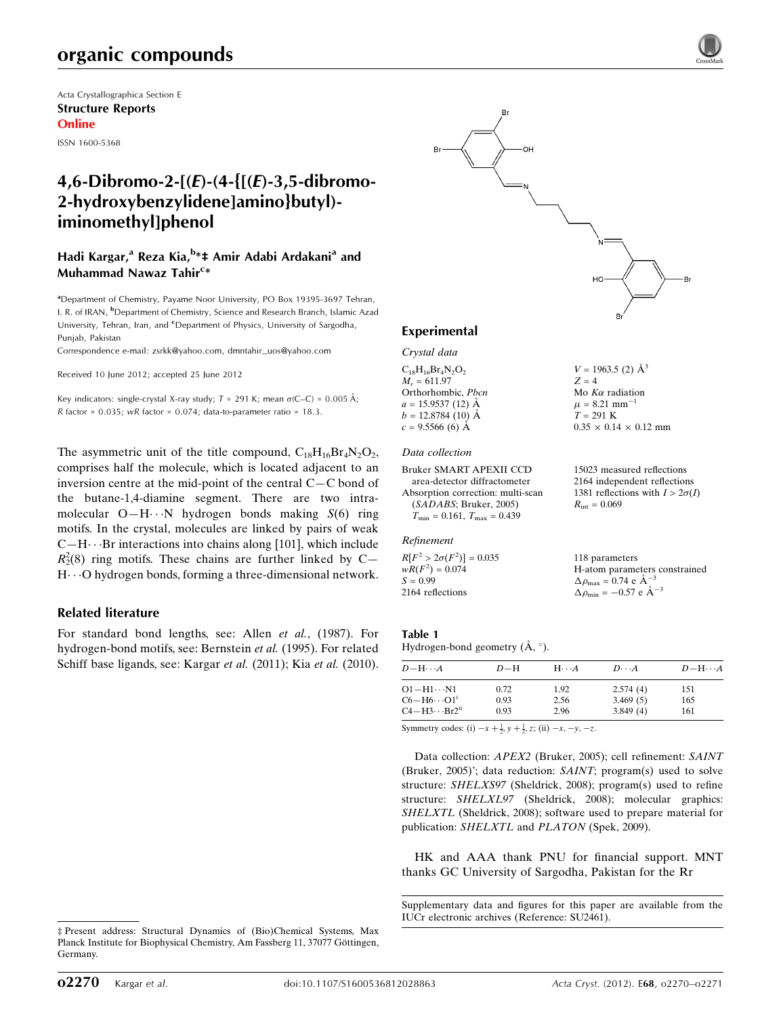# organic compounds

Acta Crystallographica Section E Structure Reports Online

ISSN 1600-5368

# 4,6-Dibromo-2-[(E)-(4-{[(E)-3,5-dibromo-2-hydroxybenzylidene]amino}butyl) iminomethyl]phenol

# Hadi Kargar,<sup>a</sup> Reza Kia,<sup>b</sup>\*‡ Amir Adabi Ardakani<sup>a</sup> and Muhammad Nawaz Tahir<sup>c</sup>\*

<sup>a</sup> Department of Chemistry, Payame Noor University, PO Box 19395-3697 Tehran, I. R. of IRAN, <sup>b</sup>Department of Chemistry, Science and Research Branch, Islamic Azad University, Tehran, Iran, and <sup>c</sup>Department of Physics, University of Sargodha, Punjab, Pakistan

Correspondence e-mail: [zsrkk@yahoo.com](http://scripts.iucr.org/cgi-bin/cr.cgi?rm=pdfbb&cnor=su2461&bbid=BB7), [dmntahir\\_uos@yahoo.com](http://scripts.iucr.org/cgi-bin/cr.cgi?rm=pdfbb&cnor=su2461&bbid=BB7)

Received 10 June 2012; accepted 25 June 2012

Key indicators: single-crystal X-ray study;  $T = 291$  K; mean  $\sigma$ (C–C) = 0.005 Å; R factor =  $0.035$ ; wR factor =  $0.074$ ; data-to-parameter ratio = 18.3.

The asymmetric unit of the title compound,  $C_{18}H_{16}Br_4N_2O_2$ , comprises half the molecule, which is located adjacent to an inversion centre at the mid-point of the central C—C bond of the butane-1,4-diamine segment. There are two intramolecular  $O-H \cdot \cdot \cdot N$  hydrogen bonds making  $S(6)$  ring motifs. In the crystal, molecules are linked by pairs of weak  $C-H\cdots$ Br interactions into chains along [101], which include  $R_2^2(8)$  ring motifs. These chains are further linked by C-H---O hydrogen bonds, forming a three-dimensional network.

#### Related literature

For standard bond lengths, see: Allen et al., (1987). For hydrogen-bond motifs, see: Bernstein et al. (1995). For related Schiff base ligands, see: Kargar et al. (2011); Kia et al. (2010).





 $V = 1963.5$  (2)  $\mathring{A}^3$ 

Mo  $K\alpha$  radiation  $\mu = 8.21$  mm<sup>-1</sup>  $T = 291$  K

 $R_{\text{int}} = 0.069$ 

118 parameters

 $\Delta \rho_{\text{max}} = 0.74 \text{ e A}^{-3}$  $\Delta \rho_{\text{min}} = -0.57 \text{ e } \text{\AA}^{-3}$ 

 $0.35 \times 0.14 \times 0.12$  mm

15023 measured reflections 2164 independent reflections 1381 reflections with  $I > 2\sigma(I)$ 

H-atom parameters constrained

 $Z = 4$ 

#### Experimental

Crystal data

 $C_{18}H_{16}Br_4N_2O_2$  $M<sub>r</sub> = 611.97$ Orthorhombic, Pbcn  $a = 15.9537(12)$  Å  $b = 12.8784(10)$  Å  $c = 9.5566(6)$  Å

#### Data collection

Bruker SMART APEXII CCD area-detector diffractometer Absorption correction: multi-scan (SADABS; Bruker, 2005)  $T_{\min} = 0.161, T_{\max} = 0.439$ 

#### Refinement

 $R[F^2 > 2\sigma(F^2)] = 0.035$  $wR(F^2) = 0.074$  $S = 0.99$ 2164 reflections

Table 1

| Hydrogen-bond geometry $(A, \circ)$ . |  |  |
|---------------------------------------|--|--|

| $D - H \cdots A$                   | $D-H$ | $H\cdots A$ | $D\cdot\cdot\cdot A$ | $D - H \cdots A$ |
|------------------------------------|-------|-------------|----------------------|------------------|
| O1−H1…N1                           | 0.72  | 1.92        | 2.574(4)             | 151              |
| $C6 - H6 \cdots O1$ <sup>i</sup>   | 0.93  | 2.56        | 3.469(5)             | 165              |
| $C4 - H3 \cdots Br2$ <sup>ii</sup> | 0.93  | 2.96        | 3.849(4)             | 161              |
|                                    |       |             |                      |                  |

Symmetry codes: (i)  $-x + \frac{1}{2}$ ,  $y + \frac{1}{2}$ , z; (ii)  $-x$ ,  $-y$ ,  $-z$ .

Data collection: APEX2 (Bruker, 2005); cell refinement: SAINT (Bruker, 2005)'; data reduction: SAINT; program(s) used to solve structure: SHELXS97 (Sheldrick, 2008); program(s) used to refine structure: SHELXL97 (Sheldrick, 2008); molecular graphics: SHELXTL (Sheldrick, 2008); software used to prepare material for publication: SHELXTL and PLATON (Spek, 2009).

HK and AAA thank PNU for financial support. MNT thanks GC University of Sargodha, Pakistan for the Rr

Supplementary data and figures for this paper are available from the IUCr electronic archives (Reference: SU2461).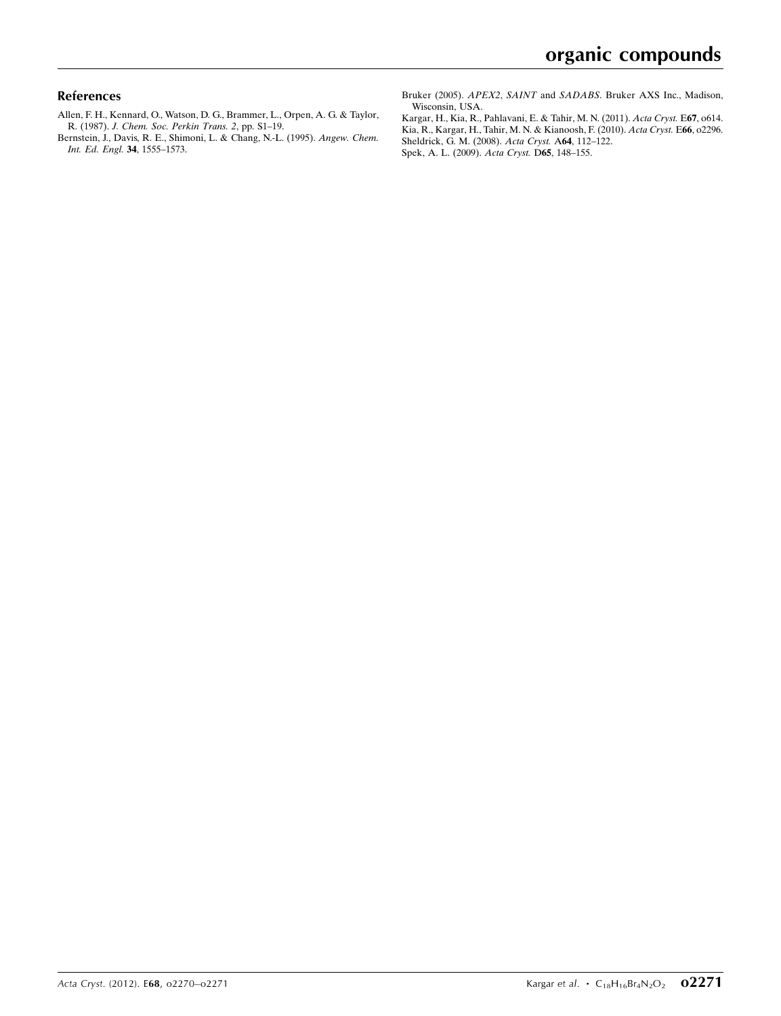#### References

- [Allen, F. H., Kennard, O., Watson, D. G., Brammer, L., Orpen, A. G. & Taylor,](http://scripts.iucr.org/cgi-bin/cr.cgi?rm=pdfbb&cnor=su2461&bbid=BB1) R. (1987). [J. Chem. Soc. Perkin Trans. 2](http://scripts.iucr.org/cgi-bin/cr.cgi?rm=pdfbb&cnor=su2461&bbid=BB1), pp. S1–19.
- [Bernstein, J., Davis, R. E., Shimoni, L. & Chang, N.-L. \(1995\).](http://scripts.iucr.org/cgi-bin/cr.cgi?rm=pdfbb&cnor=su2461&bbid=BB2) Angew. Chem. [Int. Ed. Engl.](http://scripts.iucr.org/cgi-bin/cr.cgi?rm=pdfbb&cnor=su2461&bbid=BB2) 34, 1555–1573.

Bruker (2005). APEX2, SAINT and SADABS[. Bruker AXS Inc., Madison,](http://scripts.iucr.org/cgi-bin/cr.cgi?rm=pdfbb&cnor=su2461&bbid=BB3) [Wisconsin, USA.](http://scripts.iucr.org/cgi-bin/cr.cgi?rm=pdfbb&cnor=su2461&bbid=BB3)

[Kargar, H., Kia, R., Pahlavani, E. & Tahir, M. N. \(2011\).](http://scripts.iucr.org/cgi-bin/cr.cgi?rm=pdfbb&cnor=su2461&bbid=BB4) Acta Cryst. E67, o614. [Kia, R., Kargar, H., Tahir, M. N. & Kianoosh, F. \(2010\).](http://scripts.iucr.org/cgi-bin/cr.cgi?rm=pdfbb&cnor=su2461&bbid=BB5) Acta Cryst. E66, o2296. [Sheldrick, G. M. \(2008\).](http://scripts.iucr.org/cgi-bin/cr.cgi?rm=pdfbb&cnor=su2461&bbid=BB6) Acta Cryst. A64, 112–122. [Spek, A. L. \(2009\).](http://scripts.iucr.org/cgi-bin/cr.cgi?rm=pdfbb&cnor=su2461&bbid=BB7) Acta Cryst. D65, 148–155.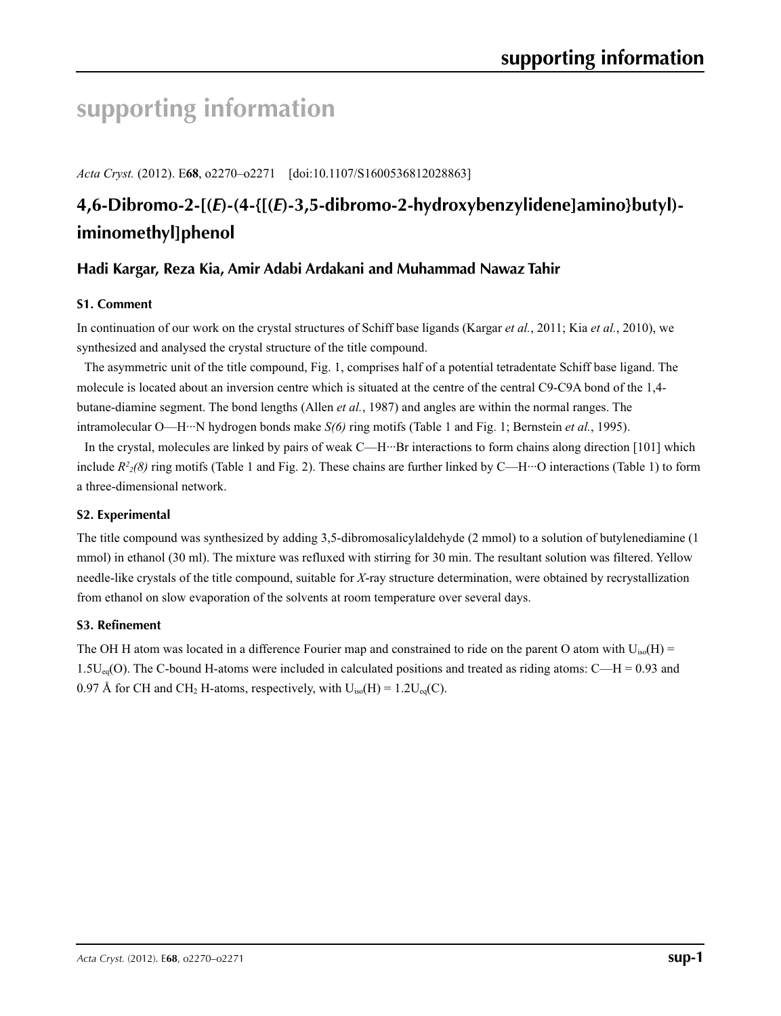# **supporting information**

*Acta Cryst.* (2012). E**68**, o2270–o2271 [doi:10.1107/S1600536812028863]

# **4,6-Dibromo-2-[(***E***)-(4-{[(***E***)-3,5-dibromo-2-hydroxybenzylidene]amino}butyl) iminomethyl]phenol**

# **Hadi Kargar, Reza Kia, Amir Adabi Ardakani and Muhammad Nawaz Tahir**

# **S1. Comment**

In continuation of our work on the crystal structures of Schiff base ligands (Kargar *et al.*, 2011; Kia *et al.*, 2010), we synthesized and analysed the crystal structure of the title compound.

The asymmetric unit of the title compound, Fig. 1, comprises half of a potential tetradentate Schiff base ligand. The molecule is located about an inversion centre which is situated at the centre of the central C9-C9A bond of the 1,4 butane-diamine segment. The bond lengths (Allen *et al.*, 1987) and angles are within the normal ranges. The intramolecular O—H···N hydrogen bonds make *S(6)* ring motifs (Table 1 and Fig. 1; Bernstein *et al.*, 1995).

In the crystal, molecules are linked by pairs of weak C—H···Br interactions to form chains along direction [101] which include  $R^2/8$  ring motifs (Table 1 and Fig. 2). These chains are further linked by C—H···O interactions (Table 1) to form a three-dimensional network.

# **S2. Experimental**

The title compound was synthesized by adding 3,5-dibromosalicylaldehyde (2 mmol) to a solution of butylenediamine (1 mmol) in ethanol (30 ml). The mixture was refluxed with stirring for 30 min. The resultant solution was filtered. Yellow needle-like crystals of the title compound, suitable for *X*-ray structure determination, were obtained by recrystallization from ethanol on slow evaporation of the solvents at room temperature over several days.

# **S3. Refinement**

The OH H atom was located in a difference Fourier map and constrained to ride on the parent O atom with  $U_{iso}(H)$  = 1.5U<sub>eq</sub>(O). The C-bound H-atoms were included in calculated positions and treated as riding atoms: C—H = 0.93 and 0.97 Å for CH and CH<sub>2</sub> H-atoms, respectively, with  $U_{iso}(H) = 1.2U_{eq}(C)$ .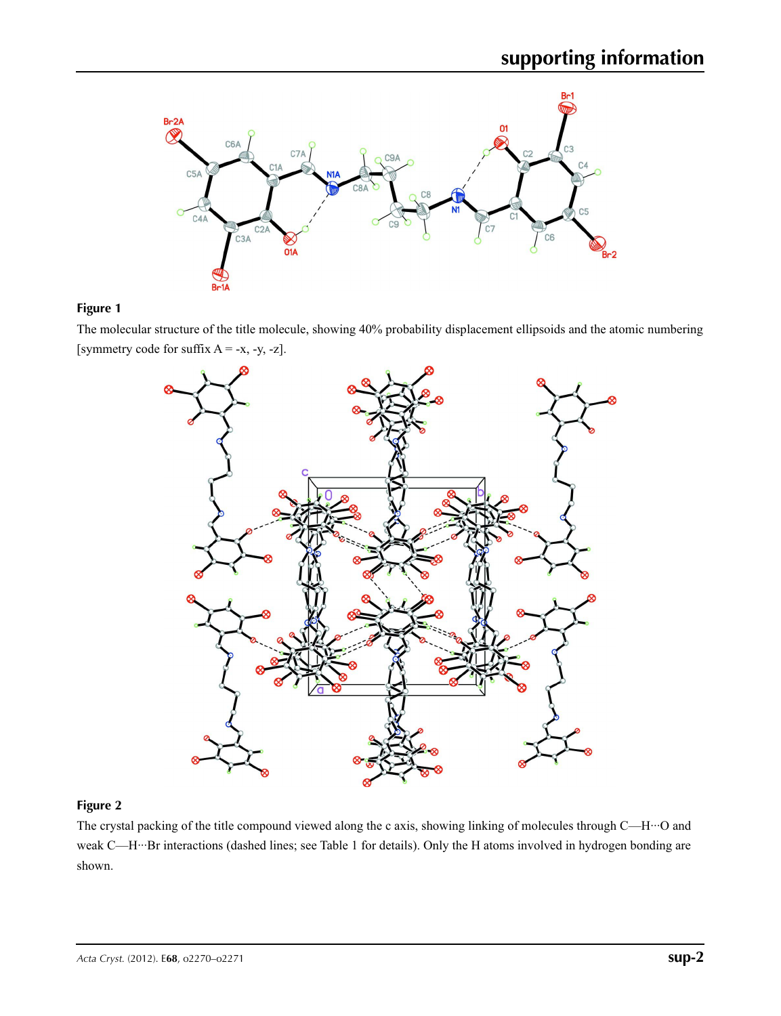

# **Figure 1**

The molecular structure of the title molecule, showing 40% probability displacement ellipsoids and the atomic numbering [symmetry code for suffix  $A = -x, -y, -z$ ].



## **Figure 2**

The crystal packing of the title compound viewed along the c axis, showing linking of molecules through C—H···O and weak C—H···Br interactions (dashed lines; see Table 1 for details). Only the H atoms involved in hydrogen bonding are shown.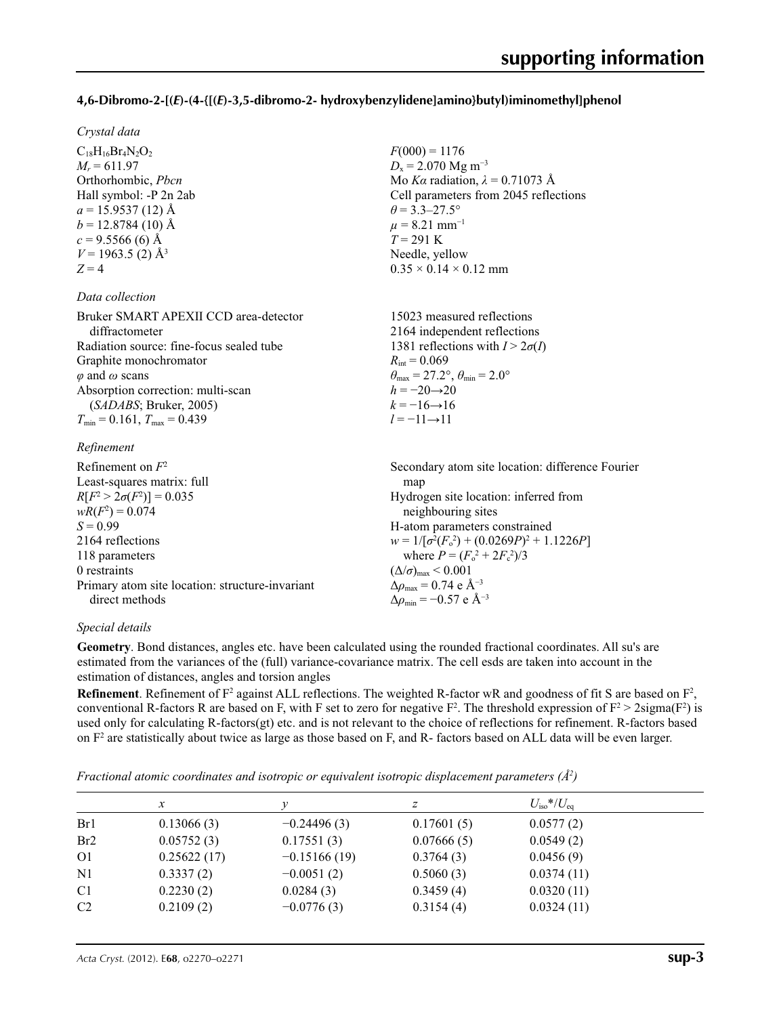## **4,6-Dibromo-2-[(***E***)-(4-{[(***E***)-3,5-dibromo-2- hydroxybenzylidene]amino}butyl)iminomethyl]phenol**

 $F(000) = 1176$  $D_x = 2.070$  Mg m<sup>-3</sup>

 $\theta$  = 3.3–27.5°  $\mu$  = 8.21 mm<sup>-1</sup>  $T = 291$  K Needle, yellow  $0.35 \times 0.14 \times 0.12$  mm

 $R_{\text{int}} = 0.069$ 

 $h = -20 \rightarrow 20$  $k = -16 \rightarrow 16$ *l* = −11→11

Mo *Kα* radiation, *λ* = 0.71073 Å Cell parameters from 2045 reflections

15023 measured reflections 2164 independent reflections 1381 reflections with  $I > 2\sigma(I)$ 

 $\theta_{\text{max}} = 27.2^{\circ}, \theta_{\text{min}} = 2.0^{\circ}$ 

#### *Crystal data*

 $C_{18}H_{16}Br_4N_2O_2$  $M_r = 611.97$ Orthorhombic, *Pbcn* Hall symbol: -P 2n 2ab  $a = 15.9537(12)$  Å  $b = 12.8784(10)$  Å  $c = 9.5566(6)$  Å  $V = 1963.5$  (2) Å<sup>3</sup>  $Z = 4$ 

#### *Data collection*

| Bruker SMART APEXII CCD area-detector    |
|------------------------------------------|
| diffractometer                           |
| Radiation source: fine-focus sealed tube |
| Graphite monochromator                   |
| $\varphi$ and $\omega$ scans             |
| Absorption correction: multi-scan        |
| (SADABS; Bruker, 2005)                   |
| $T_{\min}$ = 0.161, $T_{\max}$ = 0.439   |

#### *Refinement*

| Refinement on $F^2$<br>Least-squares matrix: full | Secondary atom site location: difference Fourier<br>map      |
|---------------------------------------------------|--------------------------------------------------------------|
| $R[F^2 > 2\sigma(F^2)] = 0.035$                   | Hydrogen site location: inferred from                        |
| $wR(F^2) = 0.074$                                 | neighbouring sites                                           |
| $S = 0.99$                                        | H-atom parameters constrained                                |
| 2164 reflections                                  | $w = 1/[\sigma^2(F_0^2) + (0.0269P)^2 + 1.1226P]$            |
| 118 parameters                                    | where $P = (F_o^2 + 2F_c^2)/3$                               |
| 0 restraints                                      | $(\Delta/\sigma)_{\text{max}}$ < 0.001                       |
| Primary atom site location: structure-invariant   | $\Delta \rho_{\text{max}} = 0.74 \text{ e } \text{\AA}^{-3}$ |
| direct methods                                    | $\Delta\rho_{\rm min} = -0.57$ e Å <sup>-3</sup>             |

#### *Special details*

**Geometry**. Bond distances, angles etc. have been calculated using the rounded fractional coordinates. All su's are estimated from the variances of the (full) variance-covariance matrix. The cell esds are taken into account in the estimation of distances, angles and torsion angles

**Refinement**. Refinement of  $F^2$  against ALL reflections. The weighted R-factor wR and goodness of fit S are based on  $F^2$ , conventional R-factors R are based on F, with F set to zero for negative  $F^2$ . The threshold expression of  $F^2 > 2 \text{sigma}(F^2)$  is used only for calculating R-factors(gt) etc. and is not relevant to the choice of reflections for refinement. R-factors based on  $F<sup>2</sup>$  are statistically about twice as large as those based on F, and R- factors based on ALL data will be even larger.

*Fractional atomic coordinates and isotropic or equivalent isotropic displacement parameters (Å<sup>2</sup>)* 

|                 | x           |                | z          | $U_{\rm iso}$ */ $U_{\rm eq}$ |  |
|-----------------|-------------|----------------|------------|-------------------------------|--|
| Br1             | 0.13066(3)  | $-0.24496(3)$  | 0.17601(5) | 0.0577(2)                     |  |
| Br <sub>2</sub> | 0.05752(3)  | 0.17551(3)     | 0.07666(5) | 0.0549(2)                     |  |
| O <sub>1</sub>  | 0.25622(17) | $-0.15166(19)$ | 0.3764(3)  | 0.0456(9)                     |  |
| N <sub>1</sub>  | 0.3337(2)   | $-0.0051(2)$   | 0.5060(3)  | 0.0374(11)                    |  |
| C <sub>1</sub>  | 0.2230(2)   | 0.0284(3)      | 0.3459(4)  | 0.0320(11)                    |  |
| C <sub>2</sub>  | 0.2109(2)   | $-0.0776(3)$   | 0.3154(4)  | 0.0324(11)                    |  |
|                 |             |                |            |                               |  |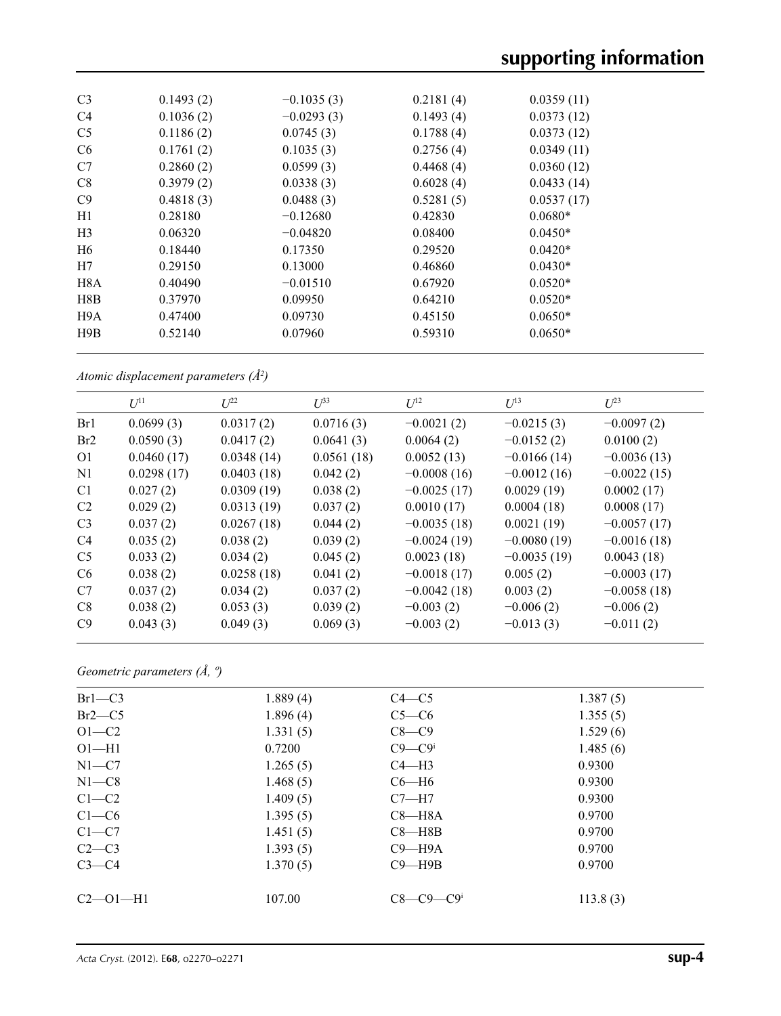| C <sub>3</sub>   | 0.1493(2) | $-0.1035(3)$ | 0.2181(4) | 0.0359(11) |  |
|------------------|-----------|--------------|-----------|------------|--|
| C <sub>4</sub>   | 0.1036(2) | $-0.0293(3)$ | 0.1493(4) | 0.0373(12) |  |
| C <sub>5</sub>   | 0.1186(2) | 0.0745(3)    | 0.1788(4) | 0.0373(12) |  |
| C <sub>6</sub>   | 0.1761(2) | 0.1035(3)    | 0.2756(4) | 0.0349(11) |  |
| C7               | 0.2860(2) | 0.0599(3)    | 0.4468(4) | 0.0360(12) |  |
| C8               | 0.3979(2) | 0.0338(3)    | 0.6028(4) | 0.0433(14) |  |
| C9               | 0.4818(3) | 0.0488(3)    | 0.5281(5) | 0.0537(17) |  |
| H1               | 0.28180   | $-0.12680$   | 0.42830   | $0.0680*$  |  |
| H <sub>3</sub>   | 0.06320   | $-0.04820$   | 0.08400   | $0.0450*$  |  |
| H <sub>6</sub>   | 0.18440   | 0.17350      | 0.29520   | $0.0420*$  |  |
| H7               | 0.29150   | 0.13000      | 0.46860   | $0.0430*$  |  |
| H <sub>8</sub> A | 0.40490   | $-0.01510$   | 0.67920   | $0.0520*$  |  |
| H8B              | 0.37970   | 0.09950      | 0.64210   | $0.0520*$  |  |
| H9A              | 0.47400   | 0.09730      | 0.45150   | $0.0650*$  |  |
| H9B              | 0.52140   | 0.07960      | 0.59310   | $0.0650*$  |  |
|                  |           |              |           |            |  |

*Atomic displacement parameters (Å2 )*

|                | $U^{11}$   | $L^{22}$   | $U^{33}$   | $U^{12}$      | $U^{13}$      | $U^{23}$      |
|----------------|------------|------------|------------|---------------|---------------|---------------|
| Br1            | 0.0699(3)  | 0.0317(2)  | 0.0716(3)  | $-0.0021(2)$  | $-0.0215(3)$  | $-0.0097(2)$  |
| Br2            | 0.0590(3)  | 0.0417(2)  | 0.0641(3)  | 0.0064(2)     | $-0.0152(2)$  | 0.0100(2)     |
| O <sub>1</sub> | 0.0460(17) | 0.0348(14) | 0.0561(18) | 0.0052(13)    | $-0.0166(14)$ | $-0.0036(13)$ |
| N <sub>1</sub> | 0.0298(17) | 0.0403(18) | 0.042(2)   | $-0.0008(16)$ | $-0.0012(16)$ | $-0.0022(15)$ |
| C <sub>1</sub> | 0.027(2)   | 0.0309(19) | 0.038(2)   | $-0.0025(17)$ | 0.0029(19)    | 0.0002(17)    |
| C <sub>2</sub> | 0.029(2)   | 0.0313(19) | 0.037(2)   | 0.0010(17)    | 0.0004(18)    | 0.0008(17)    |
| C <sub>3</sub> | 0.037(2)   | 0.0267(18) | 0.044(2)   | $-0.0035(18)$ | 0.0021(19)    | $-0.0057(17)$ |
| C <sub>4</sub> | 0.035(2)   | 0.038(2)   | 0.039(2)   | $-0.0024(19)$ | $-0.0080(19)$ | $-0.0016(18)$ |
| C <sub>5</sub> | 0.033(2)   | 0.034(2)   | 0.045(2)   | 0.0023(18)    | $-0.0035(19)$ | 0.0043(18)    |
| C <sub>6</sub> | 0.038(2)   | 0.0258(18) | 0.041(2)   | $-0.0018(17)$ | 0.005(2)      | $-0.0003(17)$ |
| C7             | 0.037(2)   | 0.034(2)   | 0.037(2)   | $-0.0042(18)$ | 0.003(2)      | $-0.0058(18)$ |
| C8             | 0.038(2)   | 0.053(3)   | 0.039(2)   | $-0.003(2)$   | $-0.006(2)$   | $-0.006(2)$   |
| C9             | 0.043(3)   | 0.049(3)   | 0.069(3)   | $-0.003(2)$   | $-0.013(3)$   | $-0.011(2)$   |

*Geometric parameters (Å, º)*

| $Br1-C3$       | 1.889(4) | $C4 - C5$  | 1.387(5) |
|----------------|----------|------------|----------|
| $Br2-C5$       | 1.896(4) | $C5-C6$    | 1.355(5) |
| $O1-C2$        | 1.331(5) | $C8-C9$    | 1.529(6) |
| $O1 - H1$      | 0.7200   | $C9 - C9$  | 1.485(6) |
| $N1-C7$        | 1.265(5) | $C4 - H3$  | 0.9300   |
| $N1-C8$        | 1.468(5) | $C6-H6$    | 0.9300   |
| $C1-C2$        | 1.409(5) | $C7 - H7$  | 0.9300   |
| $C1-C6$        | 1.395(5) | $C8 - H8A$ | 0.9700   |
| $C1-C7$        | 1.451(5) | $C8 - H8B$ | 0.9700   |
| $C2-C3$        | 1.393(5) | $C9 - H9A$ | 0.9700   |
| $C3-C4$        | 1.370(5) | $C9 - H9B$ | 0.9700   |
| $C2 - 01 - H1$ | 107.00   | $C8-C9-C9$ | 113.8(3) |
|                |          |            |          |